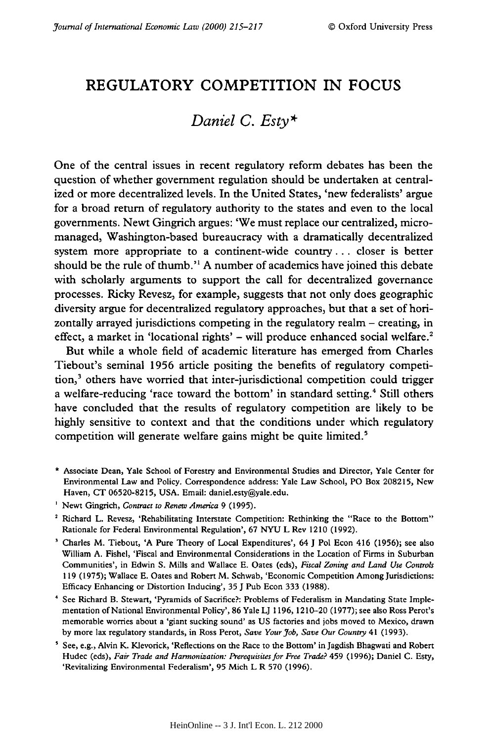## REGULATORY COMPETITION IN **FOCUS**

## *Daniel C. Esty\**

One of the central issues in recent regulatory reform debates has been the question of whether government regulation should be undertaken at centralized or more decentralized levels. In the United States, 'new federalists' argue for a broad return of regulatory authority to the states and even to the local governments. Newt Gingrich argues: 'We must replace our centralized, micromanaged, Washington-based bureaucracy with a dramatically decentralized system more appropriate to a continent-wide country **...** closer is better should be the rule of thumb." **A** number of academics have joined this debate with scholarly arguments to support the call for decentralized governance processes. Ricky Revesz, for example, suggests that not only does geographic diversity argue for decentralized regulatory approaches, but that a set of horizontally arrayed jurisdictions competing in the regulatory realm **-** creating, in effect, a market in 'locational rights' – will produce enhanced social welfare.<sup>2</sup>

But while a whole field of academic literature has emerged from Charles Tiebout's seminal **1956** article positing the benefits of regulatory competition,<sup>3</sup> others have worried that inter-jurisdictional competition could trigger a welfare-reducing 'race toward the bottom' in standard setting.<sup>4</sup> Still others have concluded that the results of regulatory competition are likely to be **highly** sensitive to context and that the conditions under which regulatory competition will generate welfare gains might be quite limited.<sup>5</sup>

- **\*** Associate Dean, Yale School of Forestry and Environmental Studies and Director, Yale Center for Environmental Law and Policy. Correspondence address: Yale Law School, **PO** Box **208215,** New Haven, **CT 06520-8215, USA.** Email: daniel.esty@yale.edu.
- <sup>1</sup> Newt Gingrich, *Contract to Renew America* 9 (1995).
- **2** Richard L. Revesz, 'Rehabilitating Interstate Competition: Rethinking the "Race to the Bottom" Rationale for Federal Environmental Regulation', **67 NYU** L Rev 1210 **(1992).**
- Charles M. Tiebout, **'A** Pure Theory of Local Expenditures', 64 **J Pol** Econ 416 **(1956);** see also William **A.** Fishel, 'Fiscal and Environmental Considerations in the Location of Firms in Suburban Communities', in Edwin **S.** Mills and Wallace **E.** Oates (eds), *Fiscal Zoning and Land Use Controls* **119 (1975);** Wallace **E.** Oates and Robert M. Schwab, 'Economic Competition Among Jurisdictions: Efficacy Enhancing or Distortion Inducing', **35 J** Pub Econ **333 (1988).**
- See Richard B. Stewart, 'Pyramids of Sacrifice?: Problems of Federalism in Mandating State Implementation of National Environmental Policy', **86** Yale U **1196,** 1210-20 **(1977);** see also Ross Perot's memorable worries about a 'giant sucking sound' as **US** factories and jobs moved to Mexico, drawn **by** more lax regulatory standards, in Ross Perot, *Save Your Job, Save Our Country* 41 **(1993).**
- See, e.g., Alvin K. Klevorick, 'Reflections on the Race to the Bottom' in Jagdish Bhagwati and Robert Hudec (eds), *Fair Trade and Harmonization: Prerequisites for Free Trade?* 459 **(1996);** Daniel **C.** Esty, 'Revitalizing Environmental Federalism', **95** Mich L R **570 (1996).**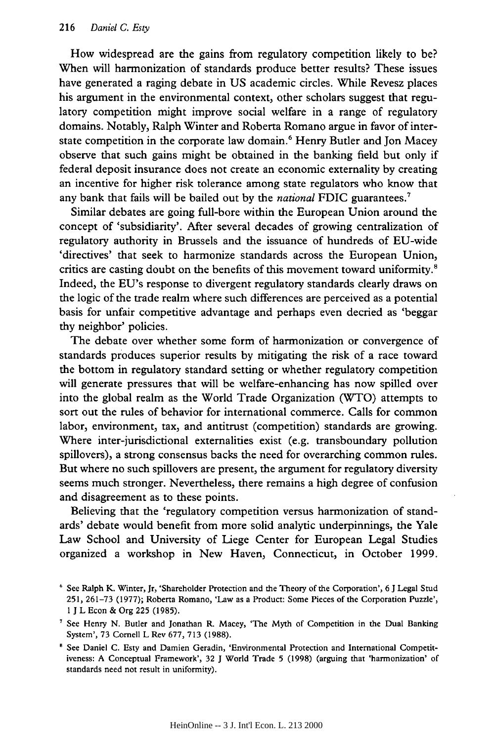How widespread are the gains from regulatory competition likely to be? When will harmonization of standards produce better results? These issues have generated a raging debate in US academic circles. While Revesz places his argument in the environmental context, other scholars suggest that regulatory competition might improve social welfare in a range of regulatory domains. Notably, Ralph Winter and Roberta Romano argue in favor of interstate competition in the corporate law domain.<sup>6</sup> Henry Butler and Jon Macey observe that such gains might be obtained in the banking field but only if federal deposit insurance does not create an economic externality by creating an incentive for higher risk tolerance among state regulators who know that any bank that fails will be bailed out by the *national* FDIC guarantees.7

Similar debates are going full-bore within the European Union around the concept of 'subsidiarity'. After several decades of growing centralization of regulatory authority in Brussels and the issuance of hundreds of EU-wide 'directives' that seek to harmonize standards across the European Union, critics are casting doubt on the benefits of this movement toward uniformity.<sup>8</sup> Indeed, the EU's response to divergent regulatory standards clearly draws on the logic of the trade realm where such differences are perceived as a potential basis for unfair competitive advantage and perhaps even decried as 'beggar thy neighbor' policies.

The debate over whether some form of harmonization or convergence of standards produces superior results by mitigating the risk of a race toward the bottom in regulatory standard setting or whether regulatory competition will generate pressures that will be welfare-enhancing has now spilled over into the global realm as the World Trade Organization (WTO) attempts to sort out the rules of behavior for international commerce. Calls for common labor, environment, tax, and antitrust (competition) standards are growing. Where inter-jurisdictional externalities exist (e.g. transboundary pollution spillovers), a strong consensus backs the need for overarching common rules. But where no such spillovers are present, the argument for regulatory diversity seems much stronger. Nevertheless, there remains a high degree of confusion and disagreement as to these points.

Believing that the 'regulatory competition versus harmonization of standards' debate would benefit from more solid analytic underpinnings, the Yale Law School and University of Liege Center for European Legal Studies organized a workshop in New Haven, Connecticut, in October 1999.

See Ralph K. Winter, Jr, 'Shareholder Protection and the Theory of the Corporation', 6 **J** Legal Stud 251, 261-73 (1977); Roberta Romano, 'Law as a Product: Some Pieces of the Corporation Puzzle', **I J** L Econ & Org **225** (1985).

**See** Henry N. Butler and Jonathan R. Macey, 'The Myth of Competition in the Dual Banking System', 73 Cornell L Rev 677, 713 (1988).

<sup>&</sup>lt;sup>8</sup> See Daniel C. Esty and Damien Geradin, 'Environmental Protection and International Competitiveness: A Conceptual Framework', 32 **J** World Trade 5 (1998) (arguing that 'harmonization' of standards need not result in uniformity).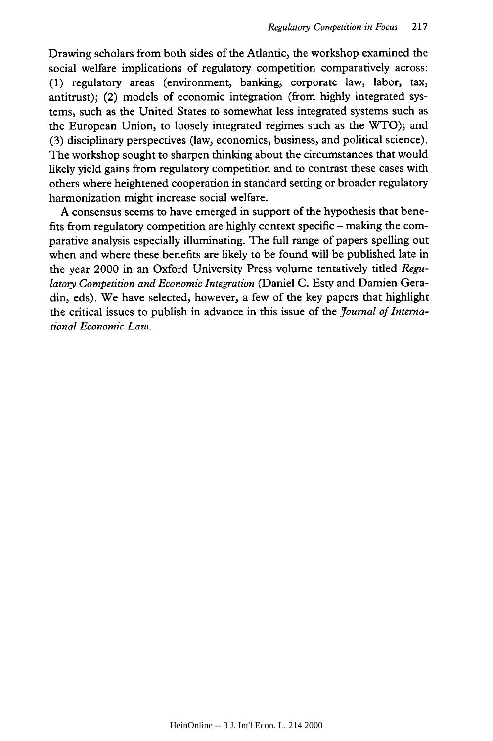Drawing scholars from both sides of the Atlantic, the workshop examined the social welfare implications of regulatory competition comparatively across: (1) regulatory areas (environment, banking, corporate law, labor, tax, antitrust); (2) models of economic integration (from highly integrated systems, such as the United States to somewhat less integrated systems such as the European Union, to loosely integrated regimes such as the WTO); and (3) disciplinary perspectives (law, economics, business, and political science). The workshop sought to sharpen thinking about the circumstances that would likely yield gains from regulatory competition and to contrast these cases with others where heightened cooperation in standard setting or broader regulatory harmonization might increase social welfare.

A consensus seems to have emerged in support of the hypothesis that benefits from regulatory competition are highly context specific - making the comparative analysis especially illuminating. The full range of papers spelling out when and where these benefits are likely to be found will be published late in the year 2000 in an Oxford University Press volume tentatively titled *Regulatory Competition and Economic Integration* (Daniel C. Esty and Damien Geradin, eds). We have selected, however, a few of the key papers that highlight the critical issues to publish in advance in this issue of the *Journal of International Economic Law.*